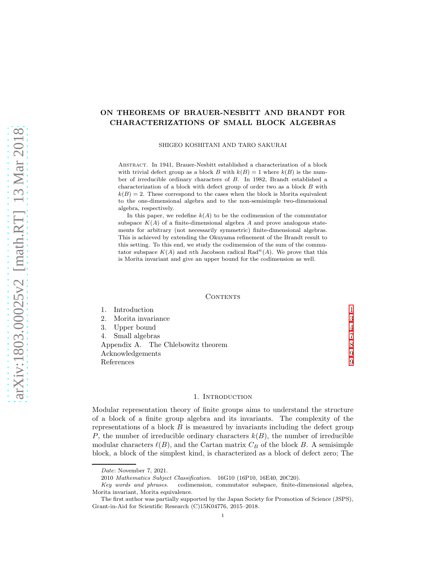# ON THEOREMS OF BRAUER-NESBITT AND BRANDT FOR CHARACTERIZATIONS OF SMALL BLOCK ALGEBRAS

SHIGEO KOSHITANI AND TARO SAKURAI

ABSTRACT. In 1941, Brauer-Nesbitt established a characterization of a block with trivial defect group as a block B with  $k(B) = 1$  where  $k(B)$  is the number of irreducible ordinary characters of B. In 1982, Brandt established a characterization of a block with defect group of order two as a block B with  $k(B) = 2$ . These correspond to the cases when the block is Morita equivalent to the one-dimensional algebra and to the non-semisimple two-dimensional algebra, respectively.

In this paper, we redefine  $k(A)$  to be the codimension of the commutator subspace  $K(A)$  of a finite-dimensional algebra A and prove analogous statements for arbitrary (not necessarily symmetric) finite-dimensional algebras. This is achieved by extending the Okuyama refinement of the Brandt result to this setting. To this end, we study the codimension of the sum of the commutator subspace  $K(A)$  and nth Jacobson radical Rad<sup>n</sup>(A). We prove that this is Morita invariant and give an upper bound for the codimension as well.

# CONTENTS

| 1. Introduction      |                                    |   |
|----------------------|------------------------------------|---|
| 2. Morita invariance |                                    | 3 |
| 3. Upper bound       |                                    | 4 |
| 4. Small algebras    |                                    |   |
|                      | Appendix A. The Chlebowitz theorem |   |
| Acknowledgements     |                                    | 9 |
| References           |                                    | 9 |

# 1. INTRODUCTION

<span id="page-0-0"></span>Modular representation theory of finite groups aims to understand the structure of a block of a finite group algebra and its invariants. The complexity of the representations of a block  $B$  is measured by invariants including the defect group P, the number of irreducible ordinary characters  $k(B)$ , the number of irreducible modular characters  $\ell(B)$ , and the Cartan matrix  $C_B$  of the block B. A semisimple block, a block of the simplest kind, is characterized as a block of defect zero; The

Date: November 7, 2021.

<sup>2010</sup> Mathematics Subject Classification. 16G10 (16P10, 16E40, 20C20).

Key words and phrases. codimension, commutator subspace, finite-dimensional algebra, Morita invariant, Morita equivalence.

The first author was partially supported by the Japan Society for Promotion of Science (JSPS), Grant-in-Aid for Scientific Research (C)15K04776, 2015–2018.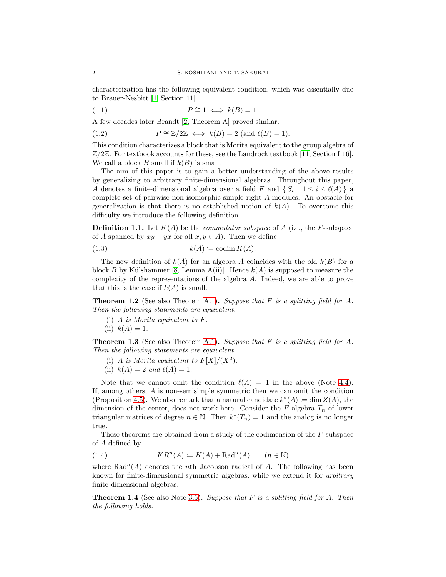characterization has the following equivalent condition, which was essentially due to Brauer-Nesbitt [\[4,](#page-8-2) Section 11].

$$
(1.1) \t\t P \cong 1 \iff k(B) = 1.
$$

A few decades later Brandt [\[2,](#page-8-3) Theorem A] proved similar.

(1.2)  $P \cong \mathbb{Z}/2\mathbb{Z} \iff k(B) = 2 \text{ (and } \ell(B) = 1).$ 

This condition characterizes a block that is Morita equivalent to the group algebra of  $\mathbb{Z}/2\mathbb{Z}$ . For textbook accounts for these, see the Landrock textbook [\[11,](#page-8-4) Section I.16]. We call a block B small if  $k(B)$  is small.

The aim of this paper is to gain a better understanding of the above results by generalizing to arbitrary finite-dimensional algebras. Throughout this paper, A denotes a finite-dimensional algebra over a field F and  $\{S_i \mid 1 \leq i \leq \ell(A)\}\$ a complete set of pairwise non-isomorphic simple right A-modules. An obstacle for generalization is that there is no established notion of  $k(A)$ . To overcome this difficulty we introduce the following definition.

**Definition 1.1.** Let  $K(A)$  be the *commutator subspace* of A (i.e., the F-subspace of A spanned by  $xy - yx$  for all  $x, y \in A$ ). Then we define

$$
(1.3) \t\t k(A) \coloneqq \operatorname{codim} K(A).
$$

The new definition of  $k(A)$  for an algebra A coincides with the old  $k(B)$  for a block B by Külshammer [\[8,](#page-8-5) Lemma A(ii)]. Hence  $k(A)$  is supposed to measure the complexity of the representations of the algebra A. Indeed, we are able to prove that this is the case if  $k(A)$  is small.

<span id="page-1-3"></span><span id="page-1-1"></span>**Theorem 1.2** (See also Theorem [A.1\)](#page-7-1). Suppose that F is a splitting field for A. Then the following statements are equivalent.

- <span id="page-1-4"></span>(i) A is Morita equivalent to F.
- (ii)  $k(A) = 1$ .

<span id="page-1-5"></span><span id="page-1-2"></span>**Theorem 1.3** (See also Theorem [A.1\)](#page-7-1). Suppose that F is a splitting field for A. Then the following statements are equivalent.

- <span id="page-1-6"></span>(i) A is Morita equivalent to  $F[X]/(X^2)$ .
- (ii)  $k(A) = 2$  and  $\ell(A) = 1$ .

Note that we cannot omit the condition  $\ell(A) = 1$  in the above (Note [4.4\)](#page-7-2). If, among others, A is non-semisimple symmetric then we can omit the condition (Proposition [4.5\)](#page-7-3). We also remark that a natural candidate  $k^*(A) := \dim Z(A)$ , the dimension of the center, does not work here. Consider the  $F$ -algebra  $T_n$  of lower triangular matrices of degree  $n \in \mathbb{N}$ . Then  $k^*(T_n) = 1$  and the analog is no longer true.

These theorems are obtained from a study of the codimension of the F-subspace of A defined by

(1.4) 
$$
KR^{n}(A) := K(A) + \mathrm{Rad}^{n}(A) \qquad (n \in \mathbb{N})
$$

where  $\text{Rad}^n(A)$  denotes the *n*th Jacobson radical of A. The following has been known for finite-dimensional symmetric algebras, while we extend it for arbitrary finite-dimensional algebras.

<span id="page-1-0"></span>**Theorem 1.4** (See also Note [3.5\)](#page-5-0). Suppose that F is a splitting field for A. Then the following holds.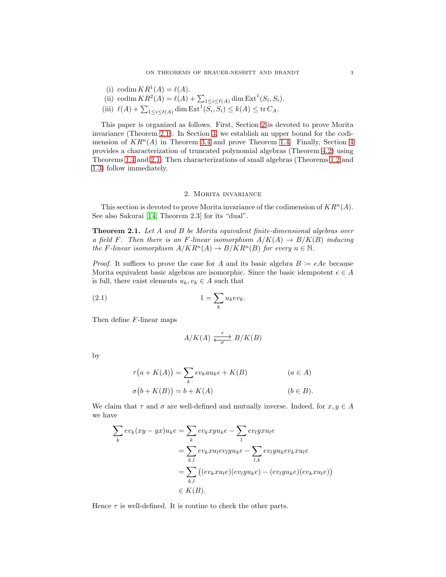- <span id="page-2-4"></span>(i) codim  $KR^1(A) = \ell(A)$ .
- <span id="page-2-3"></span><span id="page-2-2"></span>(ii) codim  $KR^2(A) = \ell(A) + \sum_{1 \le i \le \ell(A)} \dim \text{Ext}^1(S_i, S_i).$
- (iii)  $\ell(A) + \sum_{1 \leq i \leq \ell(A)} \dim \operatorname{Ext}^1(S_i, S_i) \leq k(A) \leq \operatorname{tr} C_A$ .

This paper is organized as follows. First, Section [2](#page-2-0) is devoted to prove Morita invariance (Theorem [2.1\)](#page-2-1). In Section [3,](#page-3-0) we establish an upper bound for the codimension of  $KR^n(A)$  in Theorem [3.4](#page-4-0) and prove Theorem [1.4.](#page-1-0) Finally, Section [4](#page-6-0) provides a characterization of truncated polynomial algebras (Theorem [4.2\)](#page-6-1) using Theorems [1.4](#page-1-0) and [2.1.](#page-2-1) Then characterizations of small algebras (Theorems [1.2](#page-1-1) and [1.3\)](#page-1-2) follow immediately.

## 2. Morita invariance

<span id="page-2-0"></span>This section is devoted to prove Morita invariance of the codimension of  $KR^n(A)$ . See also Sakurai [\[14,](#page-8-6) Theorem 2.3] for its "dual".

<span id="page-2-1"></span>**Theorem 2.1.** Let A and B be Morita equivalent finite-dimensional algebras over a field F. Then there is an F-linear isomorphism  $A/K(A) \to B/K(B)$  inducing the F-linear isomorphism  $A/KR^n(A) \to B/KR^n(B)$  for every  $n \in \mathbb{N}$ .

*Proof.* It suffices to prove the case for A and its basic algebra  $B = eAe$  because Morita equivalent basic algebras are isomorphic. Since the basic idempotent  $e \in A$ is full, there exist elements  $u_k, v_k \in A$  such that

$$
(2.1) \t\t\t 1 = \sum_{k} u_k ev_k.
$$

Then define F-linear maps

$$
A/K(A) \xrightarrow[\sigma]{\tau} B/K(B)
$$

by

$$
\tau(a + K(A)) = \sum_{k} ev_k au_k e + K(B) \qquad (a \in A)
$$
  

$$
\sigma(b + K(B)) = b + K(A) \qquad (b \in B).
$$

We claim that  $\tau$  and  $\sigma$  are well-defined and mutually inverse. Indeed, for  $x, y \in A$ we have

$$
\sum_{k} ev_{k}(xy - yx)u_{k}e = \sum_{k} ev_{k}xyu_{k}e - \sum_{l} ev_{l}yxu_{l}e
$$
\n
$$
= \sum_{k,l} ev_{k}xu_{l}ev_{l}yu_{k}e - \sum_{l,k} ev_{l}yu_{k}ev_{k}xu_{l}e
$$
\n
$$
= \sum_{k,l} ((ev_{k}xu_{l}e)(ev_{l}yu_{k}e) - (ev_{l}yu_{k}e)(ev_{k}xu_{l}e))
$$
\n
$$
\in K(B).
$$

Hence  $\tau$  is well-defined. It is routine to check the other parts.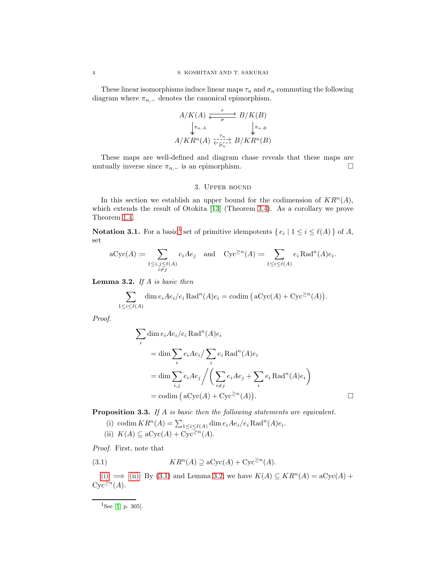These linear isomorphisms induce linear maps  $\tau_n$  and  $\sigma_n$  commuting the following diagram where  $\pi_{n,-}$  denotes the canonical epimorphism.

$$
A/K(A) \xleftarrow{\tau} B/K(B)
$$
  
\n
$$
\downarrow^{\pi_{n,A}} \qquad \downarrow^{\pi_{n,B}}
$$
  
\n
$$
A/KR^{n}(A) \xleftarrow{\tau_{n,-}} B/KR^{n}(B)
$$

<span id="page-3-0"></span>These maps are well-defined and diagram chase reveals that these maps are mutually inverse since  $\pi_{n,-}$  is an epimorphism.  $\Box$ 

## 3. Upper bound

In this section we establish an upper bound for the codimension of  $KR^n(A)$ , which extends the result of Otokita [\[13\]](#page-8-7) (Theorem [3.4\)](#page-4-0). As a corollary we prove Theorem [1.4.](#page-1-0)

**Notation 3.[1](#page-3-1).** For a basic<sup>1</sup> set of primitive idempotents  $\{e_i | 1 \le i \le \ell(A)\}\$  of A, set

$$
\mathrm{aCyc}(A) \coloneqq \sum_{\substack{1 \le i,j \le \ell(A) \\ i \ne j}} e_i A e_j \quad \text{and} \quad \mathrm{Cyc}^{\ge n}(A) \coloneqq \sum_{1 \le i \le \ell(A)} e_i \mathrm{Rad}^n(A) e_i.
$$

<span id="page-3-5"></span>**Lemma 3.2.** If  $A$  is basic then

$$
\sum_{1 \le i \le \ell(A)} \dim e_i A e_i / e_i \operatorname{Rad}^n(A) e_i = \operatorname{codim} \left( \operatorname{aCyc}(A) + \operatorname{Cyc}^{\ge n}(A) \right).
$$

Proof.

$$
\sum_{i} \dim e_{i} A e_{i} / e_{i} \operatorname{Rad}^{n}(A) e_{i}
$$
\n
$$
= \dim \sum_{i} e_{i} A e_{i} / \sum_{i} e_{i} \operatorname{Rad}^{n}(A) e_{i}
$$
\n
$$
= \dim \sum_{i,j} e_{i} A e_{j} / \left( \sum_{i \neq j} e_{i} A e_{j} + \sum_{i} e_{i} \operatorname{Rad}^{n}(A) e_{i} \right)
$$
\n
$$
= \operatorname{codim} (\operatorname{aCyc}(A) + \operatorname{Cyc}^{\ge n}(A)). \square
$$

<span id="page-3-6"></span><span id="page-3-2"></span>Proposition 3.3. If A is basic then the following statements are equivalent.

<span id="page-3-4"></span><span id="page-3-3"></span>(i) codim  $KR^n(A) = \sum_{1 \leq i \leq \ell(A)} \dim e_i A e_i / e_i \operatorname{Rad}^n(A) e_i.$ (ii)  $K(A) \subseteq aCyc(A) + Cyc^{\geq n}(A)$ .

Proof. First, note that

(3.1) 
$$
KR^{n}(A) \supseteq \mathbf{a}Cyc(A) + \mathbf{Cyc}^{\geq n}(A).
$$

[\(i\)](#page-3-2)  $\implies$  [\(ii\):](#page-3-3) By [\(3.1\)](#page-3-4) and Lemma [3.2,](#page-3-5) we have  $K(A) \subseteq KR^n(A) = aCyc(A) +$  $Cyc^{\geq n}(A)$ .

<span id="page-3-1"></span> $^{-1}$ See [\[1,](#page-8-8) p. 305].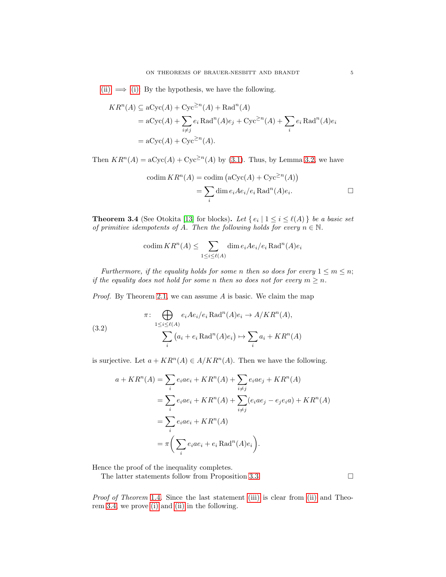[\(ii\)](#page-3-3)  $\implies$  [\(i\):](#page-3-2) By the hypothesis, we have the following.

$$
KR^{n}(A) \subseteq aCyc(A) + Cyc^{\ge n}(A) + Rad^{n}(A)
$$
  
=  $aCyc(A) + \sum_{i \ne j} e_i \text{Rad}^{n}(A)e_j + \text{Cyc}^{\ge n}(A) + \sum_{i} e_i \text{Rad}^{n}(A)e_i$   
=  $aCyc(A) + \text{Cyc}^{\ge n}(A)$ .

Then  $KR^n(A) = aCyc(A) + Cyc^{\geq n}(A)$  by [\(3.1\)](#page-3-4). Thus, by Lemma [3.2,](#page-3-5) we have

$$
\text{codim } KR^n(A) = \text{codim } (\text{aCyc}(A) + \text{Cyc}^{\geq n}(A))
$$

$$
= \sum_i \dim e_i A e_i / e_i \text{Rad}^n(A) e_i.
$$

<span id="page-4-0"></span>**Theorem 3.4** (See Otokita [\[13\]](#page-8-7) for blocks). Let  $\{e_i | 1 \le i \le \ell(A)\}\)$  be a basic set of primitive idempotents of A. Then the following holds for every  $n \in \mathbb{N}$ .

$$
\operatorname{codim} KR^n(A) \le \sum_{1 \le i \le \ell(A)} \dim e_i A e_i / e_i \operatorname{Rad}^n(A) e_i
$$

Furthermore, if the equality holds for some n then so does for every  $1 \le m \le n$ ; if the equality does not hold for some n then so does not for every  $m \geq n$ .

*Proof.* By Theorem [2.1,](#page-2-1) we can assume  $A$  is basic. We claim the map

(3.2)  

$$
\pi: \bigoplus_{1 \le i \le \ell(A)} e_i A e_i / e_i \operatorname{Rad}^n(A) e_i \to A / K R^n(A),
$$

$$
\sum_i (a_i + e_i \operatorname{Rad}^n(A) e_i) \mapsto \sum_i a_i + K R^n(A)
$$

is surjective. Let  $a + KR^n(A) \in A/KR^n(A)$ . Then we have the following.

$$
a + KR^n(A) = \sum_i e_i a e_i + KR^n(A) + \sum_{i \neq j} e_i a e_j + KR^n(A)
$$
  
= 
$$
\sum_i e_i a e_i + KR^n(A) + \sum_{i \neq j} (e_i a e_j - e_j e_i a) + KR^n(A)
$$
  
= 
$$
\sum_i e_i a e_i + KR^n(A)
$$
  
= 
$$
\pi \left( \sum_i e_i a e_i + e_i \operatorname{Rad}^n(A) e_i \right).
$$

Hence the proof of the inequality completes.

The latter statements follow from Proposition [3.3.](#page-3-6)

Proof of Theorem [1.4](#page-1-0). Since the last statement [\(iii\)](#page-2-2) is clear from [\(ii\)](#page-2-3) and Theorem [3.4,](#page-4-0) we prove [\(i\)](#page-2-4) and [\(ii\)](#page-2-3) in the following.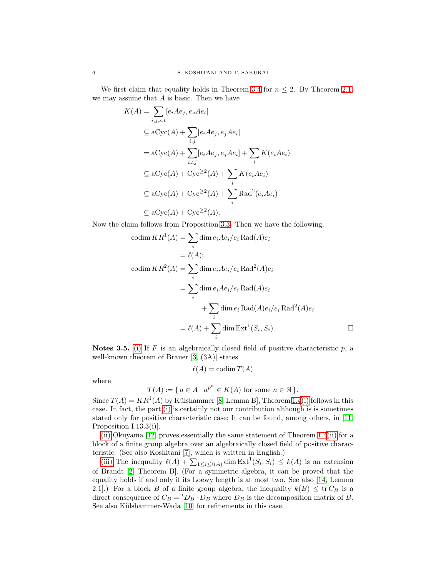We first claim that equality holds in Theorem [3.4](#page-4-0) for  $n \leq 2$ . By Theorem [2.1,](#page-2-1) we may assume that A is basic. Then we have

$$
K(A) = \sum_{i,j,s,t} [e_i A e_j, e_s A e_t]
$$
  
\n
$$
\subseteq \text{aCyc}(A) + \sum_{i,j} [e_i A e_j, e_j A e_i]
$$
  
\n
$$
= \text{aCyc}(A) + \sum_{i \neq j} [e_i A e_j, e_j A e_i] + \sum_i K(e_i A e_i)
$$
  
\n
$$
\subseteq \text{aCyc}(A) + \text{Cyc}^2(A) + \sum_i K(e_i A e_i)
$$
  
\n
$$
\subseteq \text{aCyc}(A) + \text{Cyc}^2(A) + \sum_i \text{Rad}^2(e_i A e_i)
$$
  
\n
$$
\subseteq \text{aCyc}(A) + \text{Cyc}^2(A).
$$

Now the claim follows from Proposition [3.3.](#page-3-6) Then we have the following.

$$
\begin{aligned}\n\text{codim}\,KR^1(A) &= \sum_i \dim e_i A e_i / e_i \,\text{Rad}(A) e_i \\
&= \ell(A); \\
\text{codim}\, KR^2(A) &= \sum_i \dim e_i A e_i / e_i \,\text{Rad}^2(A) e_i \\
&= \sum_i \dim e_i A e_i / e_i \,\text{Rad}(A) e_i \\
&\quad + \sum_i \dim e_i \,\text{Rad}(A) e_i / e_i \,\text{Rad}^2(A) e_i \\
&= \ell(A) + \sum_i \dim \text{Ext}^1(S_i, S_i).\n\end{aligned}
$$

<span id="page-5-0"></span>Notes 3.5. [\(i\)](#page-2-4) If  $F$  is an algebraically closed field of positive characteristic  $p$ , a well-known theorem of Brauer [\[3,](#page-8-9) (3A)] states

$$
\ell(A) = \operatorname{codim} T(A)
$$

where

$$
T(A) := \{ a \in A \mid a^{p^n} \in K(A) \text{ for some } n \in \mathbb{N} \}.
$$

Since  $T(A) = KR^{1}(A)$  by Külshammer [\[8,](#page-8-5) Lemma B], Theorem [1.4](#page-1-0)[\(i\)](#page-2-4) follows in this case. In fact, the part [\(i\)](#page-2-4) is certainly not our contribution although is is sometimes stated only for positive characteristic case; It can be found, among others, in [\[11,](#page-8-4) Proposition I.13.3(i)].

[\(ii\)](#page-2-3) Okuyama [\[12\]](#page-8-10) proves essentially the same statement of Theorem [1.4](#page-1-0)[\(ii\)](#page-2-3) for a block of a finite group algebra over an algebraically closed field of positive characteristic. (See also Koshitani [\[7\]](#page-8-11), which is written in English.)

[\(iii\)](#page-2-2) The inequality  $\ell(A) + \sum_{1 \leq i \leq \ell(A)} \dim \text{Ext}^1(S_i, S_i) \leq k(A)$  is an extension of Brandt [\[2,](#page-8-3) Theorem B]. (For a symmetric algebra, it can be proved that the equality holds if and only if its Loewy length is at most two. See also [\[14,](#page-8-6) Lemma 2.1].) For a block B of a finite group algebra, the inequality  $k(B) \leq \text{tr } C_B$  is a direct consequence of  $C_B = {}^t D_B \cdot D_B$  where  $D_B$  is the decomposition matrix of B. See also Külshammer-Wada [\[10\]](#page-8-12) for refinements in this case.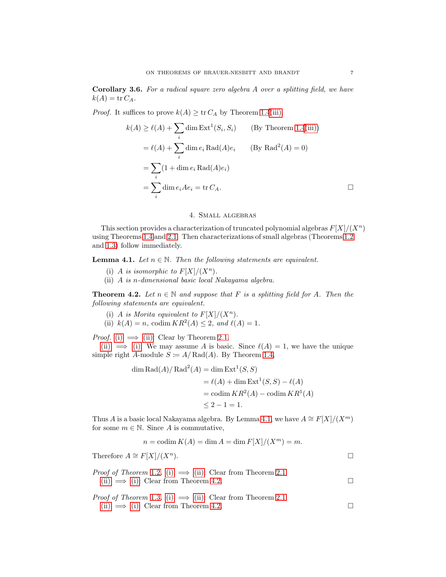Corollary 3.6. For a radical square zero algebra A over a splitting field, we have  $k(A) = \text{tr } C_A$ .

*Proof.* It suffices to prove  $k(A) \geq \text{tr } C_A$  by Theorem [1.4](#page-1-0)[\(iii\).](#page-2-2)

$$
k(A) \ge \ell(A) + \sum_{i} \dim \text{Ext}^{1}(S_{i}, S_{i}) \qquad \text{(By Theorem 1.4(iii))}
$$

$$
= \ell(A) + \sum_{i} \dim e_{i} \text{Rad}(A)e_{i} \qquad \text{(By Rad}^{2}(A) = 0)
$$

$$
= \sum_{i} (1 + \dim e_{i} \text{Rad}(A)e_{i})
$$

$$
= \sum_{i} \dim e_{i} A e_{i} = \text{tr } C_{A}.
$$

# 4. Small algebras

<span id="page-6-0"></span>This section provides a characterization of truncated polynomial algebras  $F[X]/(X^n)$ using Theorems [1.4](#page-1-0) and [2.1.](#page-2-1) Then characterizations of small algebras (Theorems [1.2](#page-1-1) and [1.3\)](#page-1-2) follow immediately.

<span id="page-6-4"></span>**Lemma 4.1.** Let  $n \in \mathbb{N}$ . Then the following statements are equivalent.

- (i) A is isomorphic to  $F[X]/(X^n)$ .
- (ii) A is n-dimensional basic local Nakayama algebra.

<span id="page-6-2"></span><span id="page-6-1"></span>**Theorem 4.2.** Let  $n \in \mathbb{N}$  and suppose that F is a splitting field for A. Then the following statements are equivalent.

- <span id="page-6-3"></span>(i) A is Morita equivalent to  $F[X]/(X^n)$ .
- (ii)  $k(A) = n$ , codim  $KR^2(A) \le 2$ , and  $\ell(A) = 1$ .

*Proof.* [\(i\)](#page-6-2)  $\implies$  [\(ii\):](#page-6-3) Clear by Theorem [2.1.](#page-2-1)

[\(ii\)](#page-6-3)  $\implies$  [\(i\):](#page-6-2) We may assume A is basic. Since  $\ell(A) = 1$ , we have the unique simple right A-module  $S \coloneqq A / \text{Rad}(A)$ . By Theorem [1.4,](#page-1-0)

$$
\dim \text{Rad}(A) / \text{Rad}^2(A) = \dim \text{Ext}^1(S, S)
$$
  
=  $\ell(A) + \dim \text{Ext}^1(S, S) - \ell(A)$   
=  $\operatorname{codim} KR^2(A) - \operatorname{codim} KR^1(A)$   
 $\leq 2 - 1 = 1.$ 

Thus A is a basic local Nakayama algebra. By Lemma [4.1,](#page-6-4) we have  $A \cong F[X]/(X^m)$ for some  $m \in \mathbb{N}$ . Since A is commutative,

$$
n = \operatorname{codim} K(A) = \dim A = \dim F[X]/(X^m) = m.
$$

Therefore  $A \cong F[X]/(X^n)$ .

*Proof of Theorem* [1.2](#page-1-1). [\(i\)](#page-1-3)  $\implies$  [\(ii\):](#page-1-4) Clear from Theorem [2.1.](#page-2-1) [\(ii\)](#page-1-4)  $\implies$  [\(i\):](#page-1-3) Clear from Theorem [4.2.](#page-6-1)

*Proof of Theorem* [1.3](#page-1-2). [\(i\)](#page-1-5)  $\implies$  [\(ii\):](#page-1-6) Clear from Theorem [2.1.](#page-2-1) [\(ii\)](#page-1-6)  $\implies$  [\(i\):](#page-1-5) Clear from Theorem [4.2.](#page-6-1)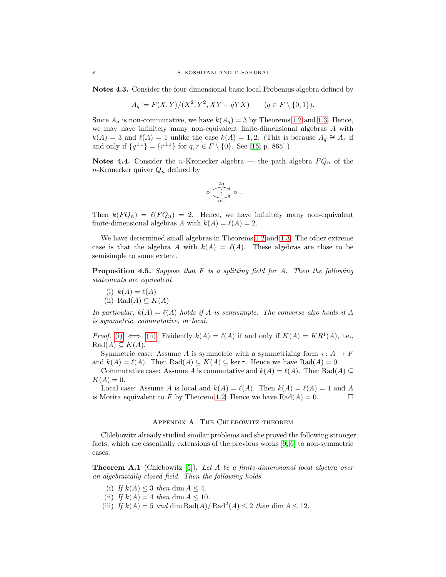Notes 4.3. Consider the four-dimensional basic local Frobenius algebra defined by

$$
A_q := F\langle X, Y \rangle / (X^2, Y^2, XY - qYX) \qquad (q \in F \setminus \{0, 1\}).
$$

Since  $A_q$  is non-commutative, we have  $k(A_q) = 3$  by Theorems [1.2](#page-1-1) and [1.3.](#page-1-2) Hence, we may have infinitely many non-equivalent finite-dimensional algebras A with  $k(A) = 3$  and  $\ell(A) = 1$  unlike the case  $k(A) = 1, 2$ . (This is because  $A_q \cong A_r$  if and only if  $\{q^{\pm 1}\} = \{r^{\pm 1}\}\$ for  $q, r \in F \setminus \{0\}$ . See [\[15,](#page-8-13) p. 865].)

<span id="page-7-2"></span>**Notes 4.4.** Consider the *n*-Kronecker algebra — the path algebra  $FQ_n$  of the n-Kronecker quiver  $Q_n$  defined by

$$
\circ \overbrace{\cdot \atop \alpha_n}^{\alpha_1} \circ
$$

.

Then  $k(FQ_n) = \ell(FQ_n) = 2$ . Hence, we have infinitely many non-equivalent finite-dimensional algebras A with  $k(A) = \ell(A) = 2$ .

We have determined small algebras in Theorems [1.2](#page-1-1) and [1.3.](#page-1-2) The other extreme case is that the algebra A with  $k(A) = \ell(A)$ . These algebras are close to be semisimple to some extent.

<span id="page-7-4"></span><span id="page-7-3"></span>**Proposition 4.5.** Suppose that  $F$  is a splitting field for  $A$ . Then the following statements are equivalent.

<span id="page-7-5"></span>(i) 
$$
k(A) = \ell(A)
$$
  
(ii) Rad $(A) \subseteq K(A)$ 

In particular,  $k(A) = \ell(A)$  holds if A is semisimple. The converse also holds if A is symmetric, commutative, or local.

*Proof.* [\(i\)](#page-7-4)  $\iff$  [\(ii\):](#page-7-5) Evidently  $k(A) = \ell(A)$  if and only if  $K(A) = KR^1(A)$ , i.e.,  $\text{Rad}(A) \subseteq K(A).$ 

Symmetric case: Assume A is symmetric with a symmetrizing form  $\tau: A \to F$ and  $k(A) = \ell(A)$ . Then  $\text{Rad}(A) \subseteq K(A) \subseteq \ker \tau$ . Hence we have  $\text{Rad}(A) = 0$ .

Commutative case: Assume A is commutative and  $k(A) = \ell(A)$ . Then Rad(A)  $\subseteq$  $K(A) = 0.$ 

Local case: Assume A is local and  $k(A) = \ell(A)$ . Then  $k(A) = \ell(A) = 1$  and A is Morita equivalent to F by Theorem [1.2.](#page-1-1) Hence we have  $Rad(A) = 0$ .

# Appendix A. The Chlebowitz theorem

<span id="page-7-0"></span>Chlebowitz already studied similar problems and she proved the following stronger facts, which are essentially extensions of the previous works [\[9,](#page-8-14) [6\]](#page-8-15) to non-symmetric cases.

<span id="page-7-1"></span>**Theorem A.1** (Chlebowitz [\[5\]](#page-8-16)). Let A be a finite-dimensional local algebra over an algebraically closed field. Then the following holds.

- (i) If  $k(A) \leq 3$  then dim  $A \leq 4$ .
- (ii) If  $k(A) = 4$  then dim  $A \leq 10$ .
- (iii) If  $k(A) = 5$  and dim Rad(A)/Rad<sup>2</sup>(A)  $\leq 2$  then dim  $A \leq 12$ .